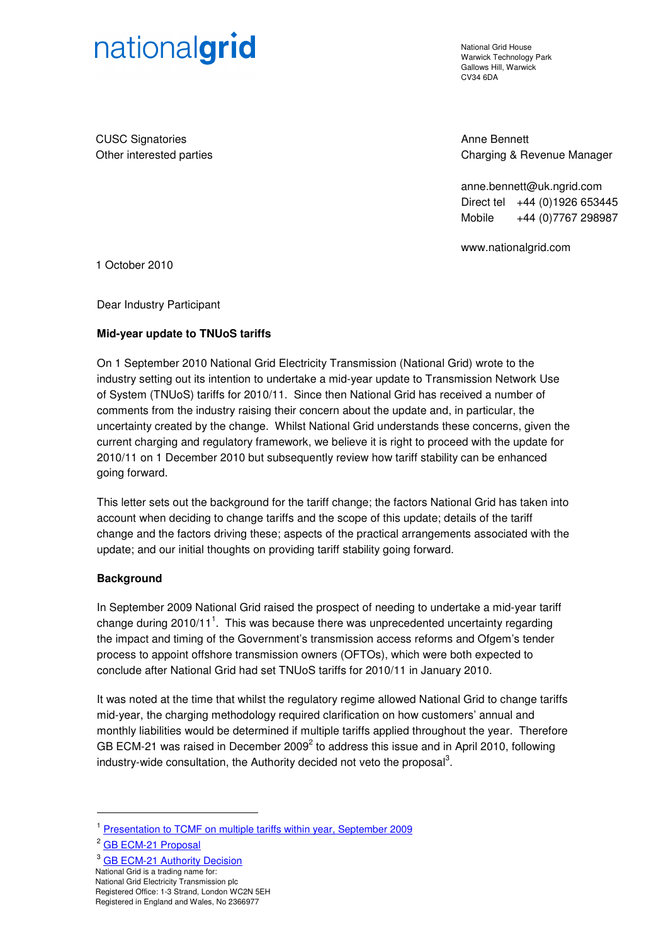# nationalgrid

National Grid House Warwick Technology Park Gallows Hill, Warwick CV34 6DA

CUSC Signatories Other interested parties Anne Bennett Charging & Revenue Manager

anne.bennett@uk.ngrid.com Direct tel +44 (0)1926 653445 Mobile +44 (0)7767 298987

www.nationalgrid.com

1 October 2010

Dear Industry Participant

# **Mid-year update to TNUoS tariffs**

On 1 September 2010 National Grid Electricity Transmission (National Grid) wrote to the industry setting out its intention to undertake a mid-year update to Transmission Network Use of System (TNUoS) tariffs for 2010/11. Since then National Grid has received a number of comments from the industry raising their concern about the update and, in particular, the uncertainty created by the change. Whilst National Grid understands these concerns, given the current charging and regulatory framework, we believe it is right to proceed with the update for 2010/11 on 1 December 2010 but subsequently review how tariff stability can be enhanced going forward.

This letter sets out the background for the tariff change; the factors National Grid has taken into account when deciding to change tariffs and the scope of this update; details of the tariff change and the factors driving these; aspects of the practical arrangements associated with the update; and our initial thoughts on providing tariff stability going forward.

#### **Background**

In September 2009 National Grid raised the prospect of needing to undertake a mid-year tariff change during 2010/11<sup>1</sup>. This was because there was unprecedented uncertainty regarding the impact and timing of the Government's transmission access reforms and Ofgem's tender process to appoint offshore transmission owners (OFTOs), which were both expected to conclude after National Grid had set TNUoS tariffs for 2010/11 in January 2010.

It was noted at the time that whilst the regulatory regime allowed National Grid to change tariffs mid-year, the charging methodology required clarification on how customers' annual and monthly liabilities would be determined if multiple tariffs applied throughout the year. Therefore GB ECM-21 was raised in December 2009<sup>2</sup> to address this issue and in April 2010, following industry-wide consultation, the Authority decided not veto the proposal<sup>3</sup>.

 $\overline{a}$ 

<sup>&</sup>lt;sup>1</sup> Presentation to TCMF on multiple tariffs within year, September 2009

<sup>&</sup>lt;sup>2</sup> GB **ECM-21 Proposal** 

<sup>&</sup>lt;sup>3</sup> GB ECM-21 Authority Decision

National Grid is a trading name for:

National Grid Electricity Transmission plc

Registered Office: 1-3 Strand, London WC2N 5EH

Registered in England and Wales, No 2366977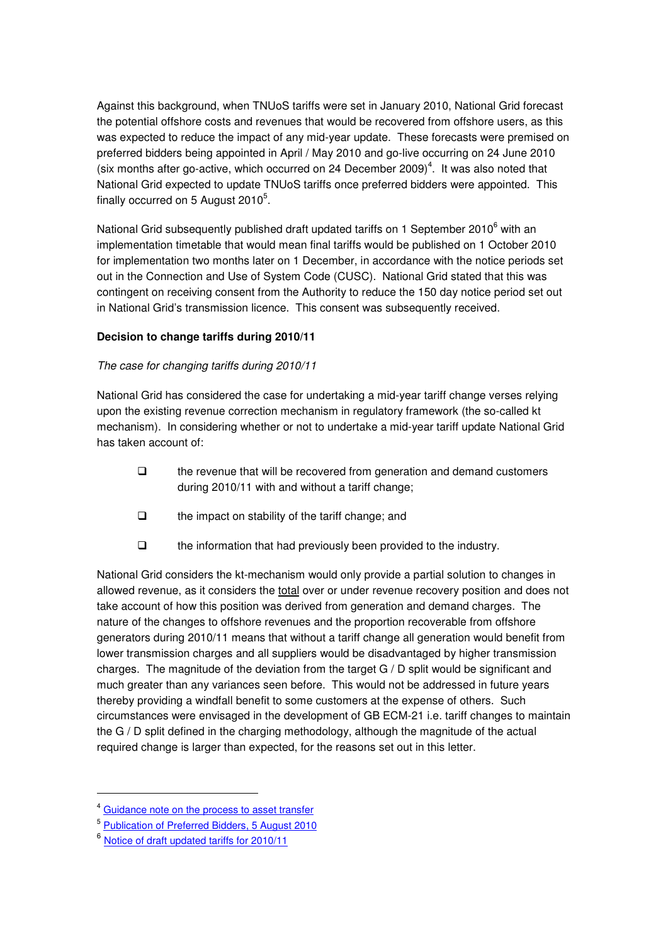Against this background, when TNUoS tariffs were set in January 2010, National Grid forecast the potential offshore costs and revenues that would be recovered from offshore users, as this was expected to reduce the impact of any mid-year update. These forecasts were premised on preferred bidders being appointed in April / May 2010 and go-live occurring on 24 June 2010 (six months after go-active, which occurred on 24 December 2009)<sup>4</sup>. It was also noted that National Grid expected to update TNUoS tariffs once preferred bidders were appointed. This finally occurred on 5 August 2010 $^5$ .

National Grid subsequently published draft updated tariffs on 1 September 2010<sup>6</sup> with an implementation timetable that would mean final tariffs would be published on 1 October 2010 for implementation two months later on 1 December, in accordance with the notice periods set out in the Connection and Use of System Code (CUSC). National Grid stated that this was contingent on receiving consent from the Authority to reduce the 150 day notice period set out in National Grid's transmission licence. This consent was subsequently received.

# **Decision to change tariffs during 2010/11**

# The case for changing tariffs during 2010/11

National Grid has considered the case for undertaking a mid-year tariff change verses relying upon the existing revenue correction mechanism in regulatory framework (the so-called kt mechanism). In considering whether or not to undertake a mid-year tariff update National Grid has taken account of:

- $\Box$  the revenue that will be recovered from generation and demand customers during 2010/11 with and without a tariff change;
- $\Box$  the impact on stability of the tariff change; and
- $\Box$  the information that had previously been provided to the industry.

National Grid considers the kt-mechanism would only provide a partial solution to changes in allowed revenue, as it considers the total over or under revenue recovery position and does not take account of how this position was derived from generation and demand charges. The nature of the changes to offshore revenues and the proportion recoverable from offshore generators during 2010/11 means that without a tariff change all generation would benefit from lower transmission charges and all suppliers would be disadvantaged by higher transmission charges. The magnitude of the deviation from the target G / D split would be significant and much greater than any variances seen before. This would not be addressed in future years thereby providing a windfall benefit to some customers at the expense of others. Such circumstances were envisaged in the development of GB ECM-21 i.e. tariff changes to maintain the G / D split defined in the charging methodology, although the magnitude of the actual required change is larger than expected, for the reasons set out in this letter.

 $\overline{a}$ 

<sup>4</sup> [Guidance note on the process to asset transfer](http://www.ofgem.gov.uk/Pages/MoreInformation.aspx?docid=1&refer=Networks/offtrans/rott) 

<sup>&</sup>lt;sup>5</sup> Publication of Preferred Bidders, 5 August 2010

<sup>&</sup>lt;sup>6</sup> Notice of draft updated tariffs for 2010/11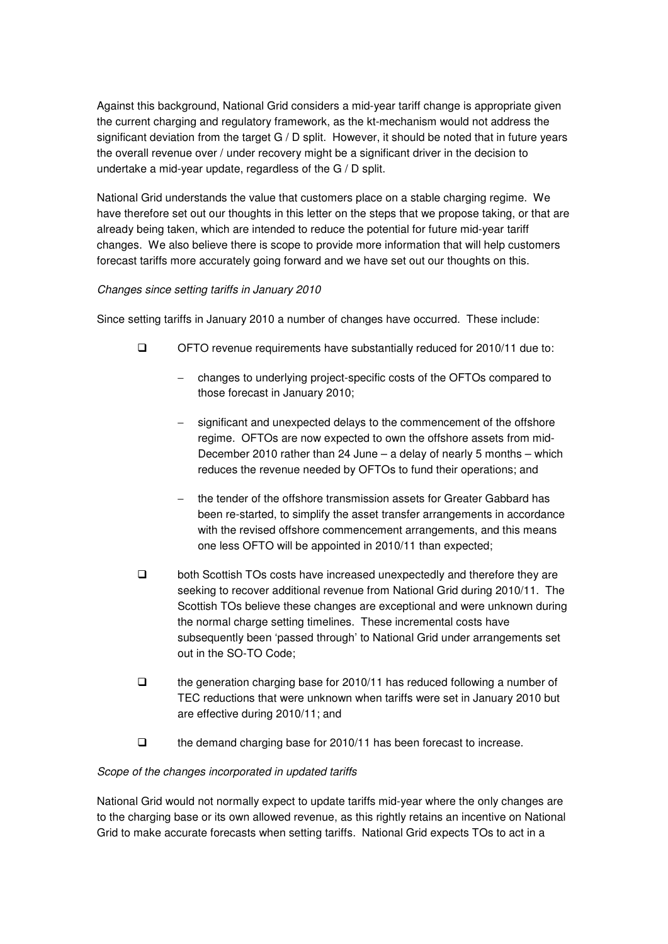Against this background, National Grid considers a mid-year tariff change is appropriate given the current charging and regulatory framework, as the kt-mechanism would not address the significant deviation from the target G / D split. However, it should be noted that in future years the overall revenue over / under recovery might be a significant driver in the decision to undertake a mid-year update, regardless of the G / D split.

National Grid understands the value that customers place on a stable charging regime. We have therefore set out our thoughts in this letter on the steps that we propose taking, or that are already being taken, which are intended to reduce the potential for future mid-year tariff changes. We also believe there is scope to provide more information that will help customers forecast tariffs more accurately going forward and we have set out our thoughts on this.

# Changes since setting tariffs in January 2010

Since setting tariffs in January 2010 a number of changes have occurred. These include:

- OFTO revenue requirements have substantially reduced for 2010/11 due to:
	- − changes to underlying project-specific costs of the OFTOs compared to those forecast in January 2010;
	- significant and unexpected delays to the commencement of the offshore regime. OFTOs are now expected to own the offshore assets from mid-December 2010 rather than 24 June – a delay of nearly 5 months – which reduces the revenue needed by OFTOs to fund their operations; and
	- the tender of the offshore transmission assets for Greater Gabbard has been re-started, to simplify the asset transfer arrangements in accordance with the revised offshore commencement arrangements, and this means one less OFTO will be appointed in 2010/11 than expected;
- □ both Scottish TOs costs have increased unexpectedly and therefore they are seeking to recover additional revenue from National Grid during 2010/11. The Scottish TOs believe these changes are exceptional and were unknown during the normal charge setting timelines. These incremental costs have subsequently been 'passed through' to National Grid under arrangements set out in the SO-TO Code;
- $\Box$  the generation charging base for 2010/11 has reduced following a number of TEC reductions that were unknown when tariffs were set in January 2010 but are effective during 2010/11; and
- $\Box$  the demand charging base for 2010/11 has been forecast to increase.

#### Scope of the changes incorporated in updated tariffs

National Grid would not normally expect to update tariffs mid-year where the only changes are to the charging base or its own allowed revenue, as this rightly retains an incentive on National Grid to make accurate forecasts when setting tariffs. National Grid expects TOs to act in a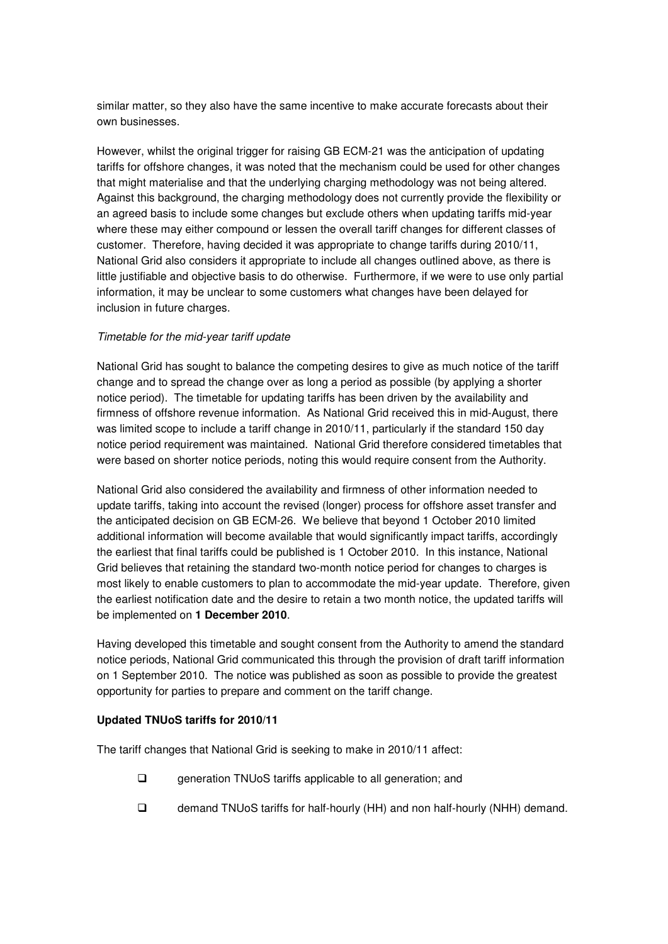similar matter, so they also have the same incentive to make accurate forecasts about their own businesses.

However, whilst the original trigger for raising GB ECM-21 was the anticipation of updating tariffs for offshore changes, it was noted that the mechanism could be used for other changes that might materialise and that the underlying charging methodology was not being altered. Against this background, the charging methodology does not currently provide the flexibility or an agreed basis to include some changes but exclude others when updating tariffs mid-year where these may either compound or lessen the overall tariff changes for different classes of customer. Therefore, having decided it was appropriate to change tariffs during 2010/11, National Grid also considers it appropriate to include all changes outlined above, as there is little justifiable and objective basis to do otherwise. Furthermore, if we were to use only partial information, it may be unclear to some customers what changes have been delayed for inclusion in future charges.

#### Timetable for the mid-year tariff update

National Grid has sought to balance the competing desires to give as much notice of the tariff change and to spread the change over as long a period as possible (by applying a shorter notice period). The timetable for updating tariffs has been driven by the availability and firmness of offshore revenue information. As National Grid received this in mid-August, there was limited scope to include a tariff change in 2010/11, particularly if the standard 150 day notice period requirement was maintained. National Grid therefore considered timetables that were based on shorter notice periods, noting this would require consent from the Authority.

National Grid also considered the availability and firmness of other information needed to update tariffs, taking into account the revised (longer) process for offshore asset transfer and the anticipated decision on GB ECM-26. We believe that beyond 1 October 2010 limited additional information will become available that would significantly impact tariffs, accordingly the earliest that final tariffs could be published is 1 October 2010. In this instance, National Grid believes that retaining the standard two-month notice period for changes to charges is most likely to enable customers to plan to accommodate the mid-year update. Therefore, given the earliest notification date and the desire to retain a two month notice, the updated tariffs will be implemented on **1 December 2010**.

Having developed this timetable and sought consent from the Authority to amend the standard notice periods, National Grid communicated this through the provision of draft tariff information on 1 September 2010. The notice was published as soon as possible to provide the greatest opportunity for parties to prepare and comment on the tariff change.

#### **Updated TNUoS tariffs for 2010/11**

The tariff changes that National Grid is seeking to make in 2010/11 affect:

- □ generation TNUoS tariffs applicable to all generation; and
- demand TNUoS tariffs for half-hourly (HH) and non half-hourly (NHH) demand.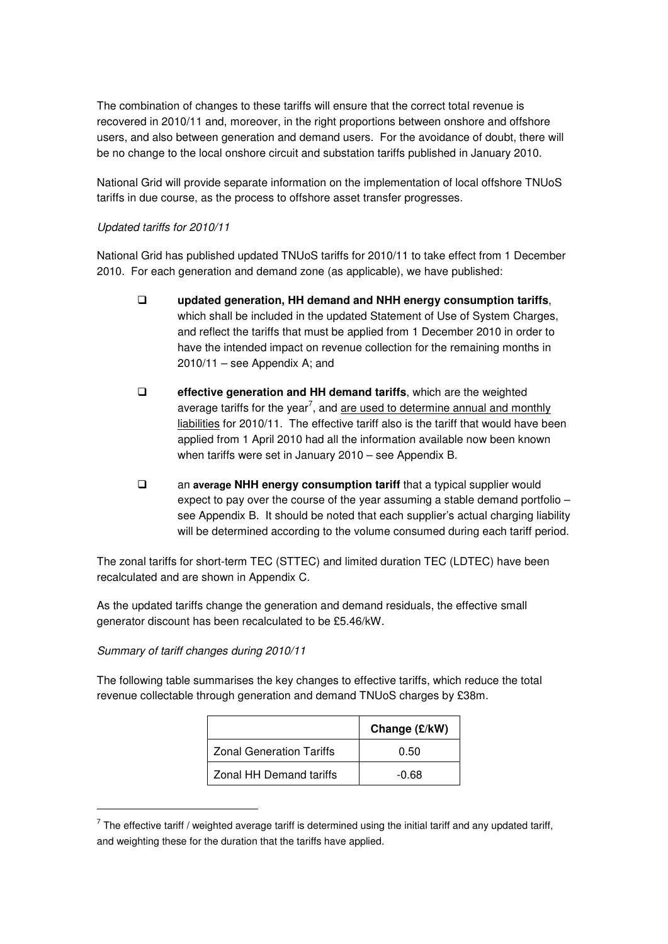The combination of changes to these tariffs will ensure that the correct total revenue is recovered in 2010/11 and, moreover, in the right proportions between onshore and offshore users, and also between generation and demand users. For the avoidance of doubt, there will be no change to the local onshore circuit and substation tariffs published in January 2010.

National Grid will provide separate information on the implementation of local offshore TNUoS tariffs in due course, as the process to offshore asset transfer progresses.

#### Updated tariffs for 2010/11

National Grid has published updated TNUoS tariffs for 2010/11 to take effect from 1 December 2010. For each generation and demand zone (as applicable), we have published:

- **updated generation, HH demand and NHH energy consumption tariffs**, which shall be included in the updated Statement of Use of System Charges, and reflect the tariffs that must be applied from 1 December 2010 in order to have the intended impact on revenue collection for the remaining months in  $2010/11$  – see Appendix A; and
- **effective generation and HH demand tariffs**, which are the weighted average tariffs for the year<sup>7</sup>, and <u>are used to determine annual and monthly</u> liabilities for 2010/11. The effective tariff also is the tariff that would have been applied from 1 April 2010 had all the information available now been known when tariffs were set in January 2010 – see Appendix B.
- an **average NHH energy consumption tariff** that a typical supplier would expect to pay over the course of the year assuming a stable demand portfolio – see Appendix B. It should be noted that each supplier's actual charging liability will be determined according to the volume consumed during each tariff period.

The zonal tariffs for short-term TEC (STTEC) and limited duration TEC (LDTEC) have been recalculated and are shown in Appendix C.

As the updated tariffs change the generation and demand residuals, the effective small generator discount has been recalculated to be £5.46/kW.

#### Summary of tariff changes during 2010/11

 $\overline{a}$ 

The following table summarises the key changes to effective tariffs, which reduce the total revenue collectable through generation and demand TNUoS charges by £38m.

|                                 | Change (£/kW) |
|---------------------------------|---------------|
| <b>Zonal Generation Tariffs</b> | 0.50          |
| Zonal HH Demand tariffs         | -0.68         |

 $^7$  The effective tariff / weighted average tariff is determined using the initial tariff and any updated tariff, and weighting these for the duration that the tariffs have applied.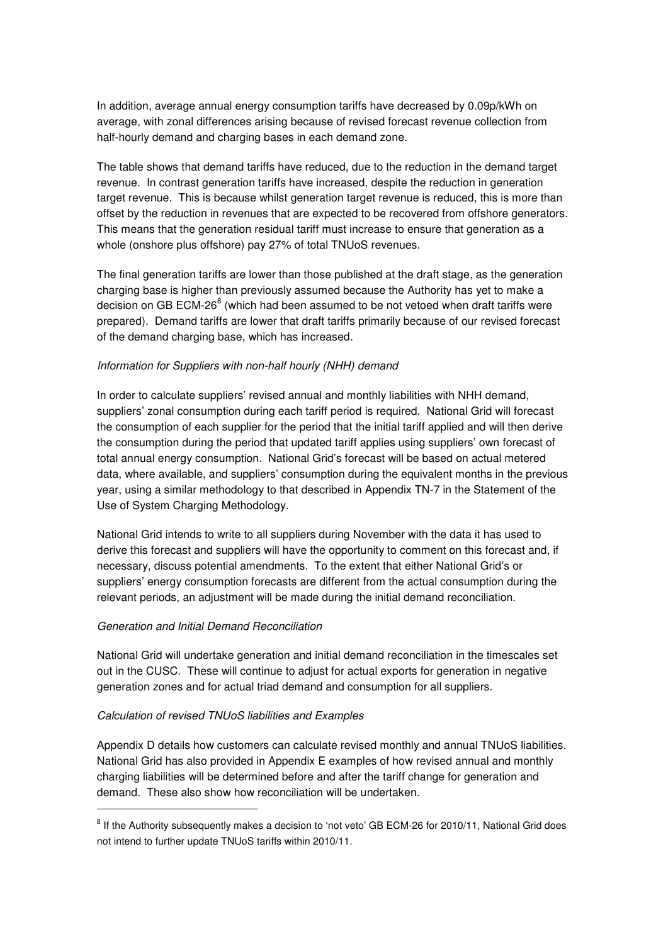In addition, average annual energy consumption tariffs have decreased by 0.09p/kWh on average, with zonal differences arising because of revised forecast revenue collection from half-hourly demand and charging bases in each demand zone.

The table shows that demand tariffs have reduced, due to the reduction in the demand target revenue. In contrast generation tariffs have increased, despite the reduction in generation target revenue. This is because whilst generation target revenue is reduced, this is more than offset by the reduction in revenues that are expected to be recovered from offshore generators. This means that the generation residual tariff must increase to ensure that generation as a whole (onshore plus offshore) pay 27% of total TNUoS revenues.

The final generation tariffs are lower than those published at the draft stage, as the generation charging base is higher than previously assumed because the Authority has yet to make a decision on GB ECM-26 $^8$  (which had been assumed to be not vetoed when draft tariffs were prepared). Demand tariffs are lower that draft tariffs primarily because of our revised forecast of the demand charging base, which has increased.

#### Information for Suppliers with non-half hourly (NHH) demand

In order to calculate suppliers' revised annual and monthly liabilities with NHH demand, suppliers' zonal consumption during each tariff period is required. National Grid will forecast the consumption of each supplier for the period that the initial tariff applied and will then derive the consumption during the period that updated tariff applies using suppliers' own forecast of total annual energy consumption. National Grid's forecast will be based on actual metered data, where available, and suppliers' consumption during the equivalent months in the previous year, using a similar methodology to that described in Appendix TN-7 in the Statement of the Use of System Charging Methodology.

National Grid intends to write to all suppliers during November with the data it has used to derive this forecast and suppliers will have the opportunity to comment on this forecast and, if necessary, discuss potential amendments. To the extent that either National Grid's or suppliers' energy consumption forecasts are different from the actual consumption during the relevant periods, an adjustment will be made during the initial demand reconciliation.

#### Generation and Initial Demand Reconciliation

 $\overline{a}$ 

National Grid will undertake generation and initial demand reconciliation in the timescales set out in the CUSC. These will continue to adjust for actual exports for generation in negative generation zones and for actual triad demand and consumption for all suppliers.

#### Calculation of revised TNUoS liabilities and Examples

Appendix D details how customers can calculate revised monthly and annual TNUoS liabilities. National Grid has also provided in Appendix E examples of how revised annual and monthly charging liabilities will be determined before and after the tariff change for generation and demand. These also show how reconciliation will be undertaken.

<sup>&</sup>lt;sup>8</sup> If the Authority subsequently makes a decision to 'not veto' GB ECM-26 for 2010/11, National Grid does not intend to further update TNUoS tariffs within 2010/11.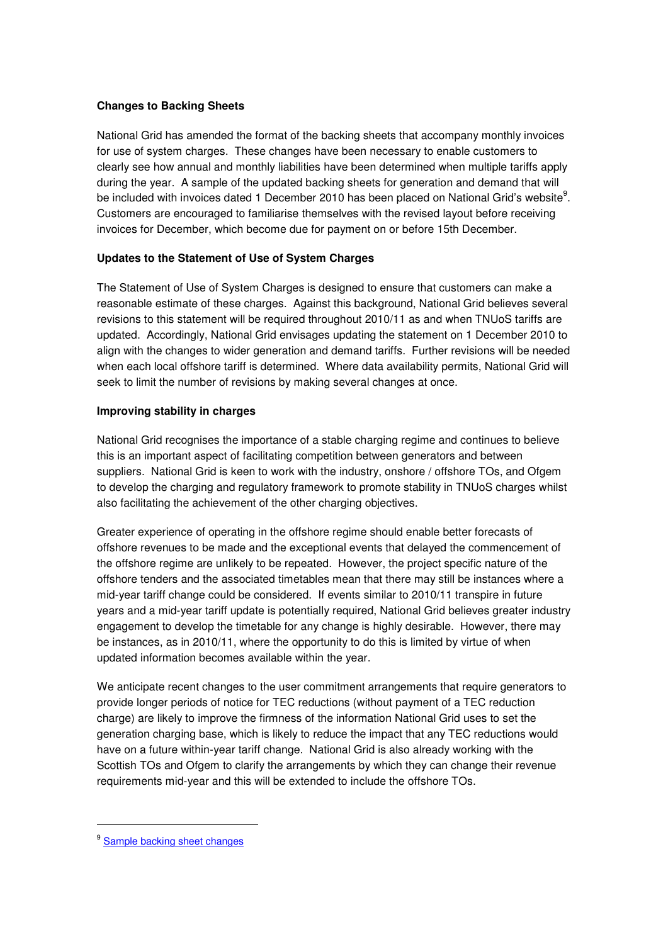# **Changes to Backing Sheets**

National Grid has amended the format of the backing sheets that accompany monthly invoices for use of system charges. These changes have been necessary to enable customers to clearly see how annual and monthly liabilities have been determined when multiple tariffs apply during the year. A sample of the updated backing sheets for generation and demand that will be included with invoices dated 1 December 2010 has been placed on National Grid's website $^9$ . Customers are encouraged to familiarise themselves with the revised layout before receiving invoices for December, which become due for payment on or before 15th December.

# **Updates to the Statement of Use of System Charges**

The Statement of Use of System Charges is designed to ensure that customers can make a reasonable estimate of these charges. Against this background, National Grid believes several revisions to this statement will be required throughout 2010/11 as and when TNUoS tariffs are updated. Accordingly, National Grid envisages updating the statement on 1 December 2010 to align with the changes to wider generation and demand tariffs. Further revisions will be needed when each local offshore tariff is determined. Where data availability permits, National Grid will seek to limit the number of revisions by making several changes at once.

# **Improving stability in charges**

National Grid recognises the importance of a stable charging regime and continues to believe this is an important aspect of facilitating competition between generators and between suppliers. National Grid is keen to work with the industry, onshore / offshore TOs, and Ofgem to develop the charging and regulatory framework to promote stability in TNUoS charges whilst also facilitating the achievement of the other charging objectives.

Greater experience of operating in the offshore regime should enable better forecasts of offshore revenues to be made and the exceptional events that delayed the commencement of the offshore regime are unlikely to be repeated. However, the project specific nature of the offshore tenders and the associated timetables mean that there may still be instances where a mid-year tariff change could be considered. If events similar to 2010/11 transpire in future years and a mid-year tariff update is potentially required, National Grid believes greater industry engagement to develop the timetable for any change is highly desirable. However, there may be instances, as in 2010/11, where the opportunity to do this is limited by virtue of when updated information becomes available within the year.

We anticipate recent changes to the user commitment arrangements that require generators to provide longer periods of notice for TEC reductions (without payment of a TEC reduction charge) are likely to improve the firmness of the information National Grid uses to set the generation charging base, which is likely to reduce the impact that any TEC reductions would have on a future within-year tariff change. National Grid is also already working with the Scottish TOs and Ofgem to clarify the arrangements by which they can change their revenue requirements mid-year and this will be extended to include the offshore TOs.

 $\overline{a}$ 

<sup>&</sup>lt;sup>9</sup> Sample backing sheet changes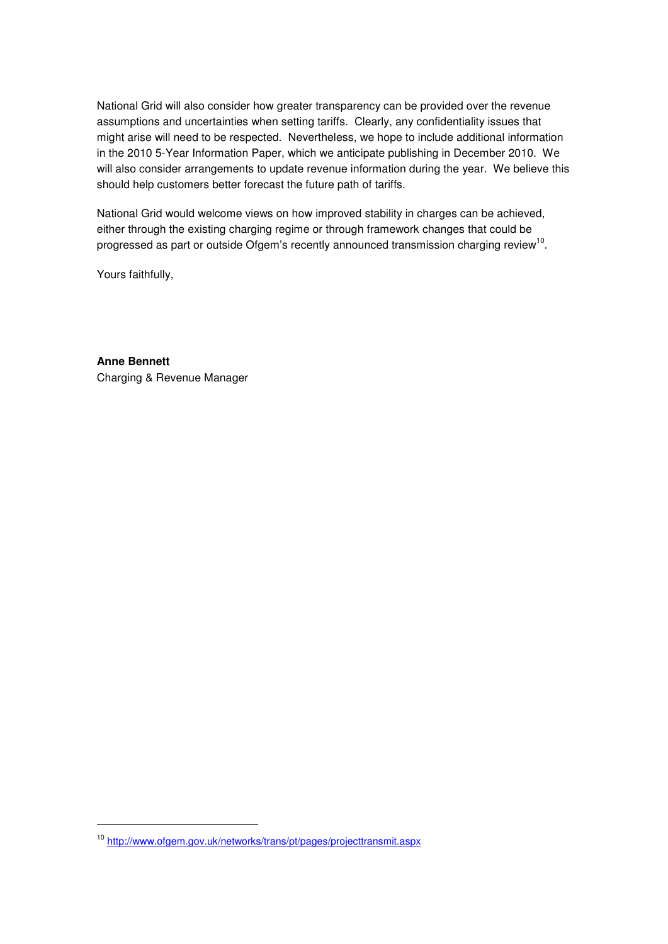National Grid will also consider how greater transparency can be provided over the revenue assumptions and uncertainties when setting tariffs. Clearly, any confidentiality issues that might arise will need to be respected. Nevertheless, we hope to include additional information in the 2010 5-Year Information Paper, which we anticipate publishing in December 2010. We will also consider arrangements to update revenue information during the year. We believe this should help customers better forecast the future path of tariffs.

National Grid would welcome views on how improved stability in charges can be achieved, either through the existing charging regime or through framework changes that could be progressed as part or outside Ofgem's recently announced transmission charging review<sup>10</sup>.

Yours faithfully,

 $\overline{a}$ 

**Anne Bennett**  Charging & Revenue Manager

<sup>10</sup> <http://www.ofgem.gov.uk/networks/trans/pt/pages/projecttransmit.aspx>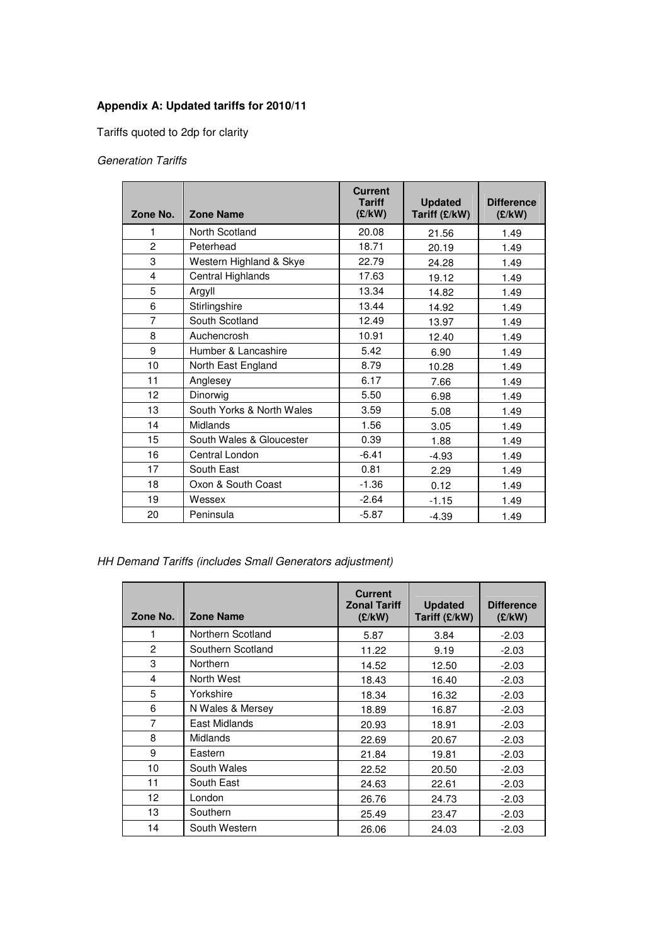# **Appendix A: Updated tariffs for 2010/11**

Tariffs quoted to 2dp for clarity

# Generation Tariffs

| Zone No.       | <b>Zone Name</b>          | <b>Current</b><br><b>Tariff</b><br>(E/KW) | <b>Updated</b><br>Tariff (£/kW) | <b>Difference</b><br>(E/KW) |
|----------------|---------------------------|-------------------------------------------|---------------------------------|-----------------------------|
| 1              | North Scotland            | 20.08                                     | 21.56                           | 1.49                        |
| $\overline{c}$ | Peterhead                 | 18.71                                     | 20.19                           | 1.49                        |
| 3              | Western Highland & Skye   | 22.79                                     | 24.28                           | 1.49                        |
| 4              | Central Highlands         | 17.63                                     | 19.12                           | 1.49                        |
| 5              | Argyll                    | 13.34                                     | 14.82                           | 1.49                        |
| 6              | Stirlingshire             | 13.44                                     | 14.92                           | 1.49                        |
| 7              | South Scotland            | 12.49                                     | 13.97                           | 1.49                        |
| 8              | Auchencrosh               | 10.91                                     | 12.40                           | 1.49                        |
| 9              | Humber & Lancashire       | 5.42                                      | 6.90                            | 1.49                        |
| 10             | North East England        | 8.79                                      | 10.28                           | 1.49                        |
| 11             | Anglesey                  | 6.17                                      | 7.66                            | 1.49                        |
| 12             | Dinorwig                  | 5.50                                      | 6.98                            | 1.49                        |
| 13             | South Yorks & North Wales | 3.59                                      | 5.08                            | 1.49                        |
| 14             | Midlands                  | 1.56                                      | 3.05                            | 1.49                        |
| 15             | South Wales & Gloucester  | 0.39                                      | 1.88                            | 1.49                        |
| 16             | Central London            | $-6.41$                                   | $-4.93$                         | 1.49                        |
| 17             | South East                | 0.81                                      | 2.29                            | 1.49                        |
| 18             | Oxon & South Coast        | $-1.36$                                   | 0.12                            | 1.49                        |
| 19             | Wessex                    | $-2.64$                                   | $-1.15$                         | 1.49                        |
| 20             | Peninsula                 | $-5.87$                                   | $-4.39$                         | 1.49                        |

HH Demand Tariffs (includes Small Generators adjustment)

| Zone No.        | <b>Zone Name</b>  | <b>Current</b><br><b>Zonal Tariff</b><br>(E/KW) | <b>Updated</b><br>Tariff (£/kW) | <b>Difference</b><br>(E/KW) |
|-----------------|-------------------|-------------------------------------------------|---------------------------------|-----------------------------|
|                 | Northern Scotland | 5.87                                            | 3.84                            | $-2.03$                     |
| $\mathcal{P}$   | Southern Scotland | 11.22                                           | 9.19                            | $-2.03$                     |
| 3               | Northern          | 14.52                                           | 12.50                           | $-2.03$                     |
| 4               | North West        | 18.43                                           | 16.40                           | $-2.03$                     |
| 5               | Yorkshire         | 18.34                                           | 16.32                           | $-2.03$                     |
| 6               | N Wales & Mersey  | 18.89                                           | 16.87                           | $-2.03$                     |
| 7               | East Midlands     | 20.93                                           | 18.91                           | $-2.03$                     |
| 8               | Midlands          | 22.69                                           | 20.67                           | $-2.03$                     |
| 9               | Eastern           | 21.84                                           | 19.81                           | $-2.03$                     |
| 10              | South Wales       | 22.52                                           | 20.50                           | $-2.03$                     |
| 11              | South East        | 24.63                                           | 22.61                           | $-2.03$                     |
| 12 <sup>2</sup> | London            | 26.76                                           | 24.73                           | $-2.03$                     |
| 13              | Southern          | 25.49                                           | 23.47                           | $-2.03$                     |
| 14              | South Western     | 26.06                                           | 24.03                           | $-2.03$                     |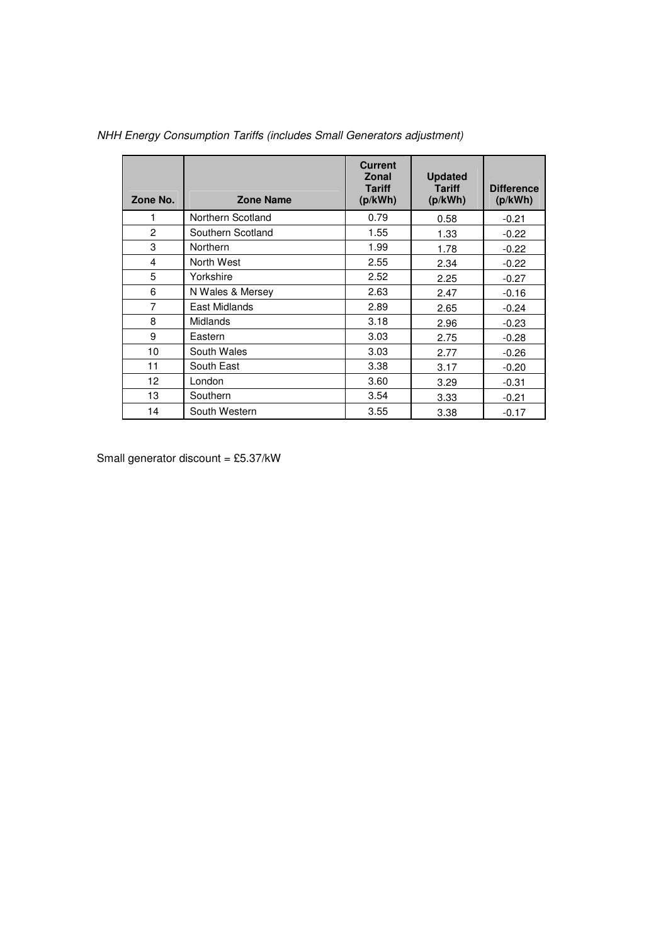| Zone No.       | <b>Zone Name</b>  | <b>Current</b><br>Zonal<br><b>Tariff</b><br>(p/kWh) | <b>Updated</b><br><b>Tariff</b><br>(p/kWh) | <b>Difference</b><br>(p/kWh) |
|----------------|-------------------|-----------------------------------------------------|--------------------------------------------|------------------------------|
|                | Northern Scotland | 0.79                                                | 0.58                                       | $-0.21$                      |
| $\overline{c}$ | Southern Scotland | 1.55                                                | 1.33                                       | $-0.22$                      |
| 3              | Northern          | 1.99                                                | 1.78                                       | $-0.22$                      |
| 4              | North West        | 2.55                                                | 2.34                                       | $-0.22$                      |
| 5              | Yorkshire         | 2.52                                                | 2.25                                       | $-0.27$                      |
| 6              | N Wales & Mersey  | 2.63                                                | 2.47                                       | $-0.16$                      |
| $\overline{7}$ | East Midlands     | 2.89                                                | 2.65                                       | $-0.24$                      |
| 8              | <b>Midlands</b>   | 3.18                                                | 2.96                                       | $-0.23$                      |
| 9              | Eastern           | 3.03                                                | 2.75                                       | $-0.28$                      |
| 10             | South Wales       | 3.03                                                | 2.77                                       | $-0.26$                      |
| 11             | South East        | 3.38                                                | 3.17                                       | $-0.20$                      |
| 12             | London            | 3.60                                                | 3.29                                       | $-0.31$                      |
| 13             | Southern          | 3.54                                                | 3.33                                       | $-0.21$                      |
| 14             | South Western     | 3.55                                                | 3.38                                       | $-0.17$                      |

NHH Energy Consumption Tariffs (includes Small Generators adjustment)

Small generator discount =  $£5.37/kW$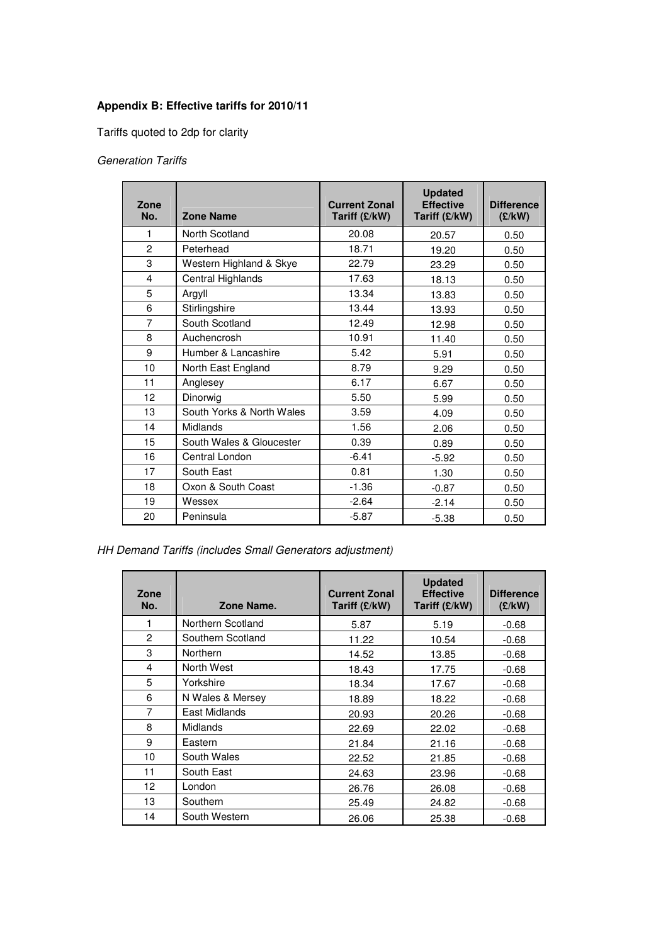# **Appendix B: Effective tariffs for 2010/11**

Tariffs quoted to 2dp for clarity

# Generation Tariffs

| Zone<br>No.    | <b>Zone Name</b>          | <b>Current Zonal</b><br>Tariff (£/kW) | <b>Updated</b><br><b>Effective</b><br>Tariff (£/kW) | <b>Difference</b><br>(E/KW) |
|----------------|---------------------------|---------------------------------------|-----------------------------------------------------|-----------------------------|
| 1              | North Scotland            | 20.08                                 | 20.57                                               | 0.50                        |
| $\overline{2}$ | Peterhead                 | 18.71                                 | 19.20                                               | 0.50                        |
| 3              | Western Highland & Skye   | 22.79                                 | 23.29                                               | 0.50                        |
| 4              | Central Highlands         | 17.63                                 | 18.13                                               | 0.50                        |
| 5              | Argyll                    | 13.34                                 | 13.83                                               | 0.50                        |
| 6              | Stirlingshire             | 13.44                                 | 13.93                                               | 0.50                        |
| $\overline{7}$ | South Scotland            | 12.49                                 | 12.98                                               | 0.50                        |
| 8              | Auchencrosh               | 10.91                                 | 11.40                                               | 0.50                        |
| 9              | Humber & Lancashire       | 5.42                                  | 5.91                                                | 0.50                        |
| 10             | North East England        | 8.79                                  | 9.29                                                | 0.50                        |
| 11             | Anglesey                  | 6.17                                  | 6.67                                                | 0.50                        |
| 12             | Dinorwig                  | 5.50                                  | 5.99                                                | 0.50                        |
| 13             | South Yorks & North Wales | 3.59                                  | 4.09                                                | 0.50                        |
| 14             | Midlands                  | 1.56                                  | 2.06                                                | 0.50                        |
| 15             | South Wales & Gloucester  | 0.39                                  | 0.89                                                | 0.50                        |
| 16             | Central London            | $-6.41$                               | $-5.92$                                             | 0.50                        |
| 17             | South East                | 0.81                                  | 1.30                                                | 0.50                        |
| 18             | Oxon & South Coast        | $-1.36$                               | $-0.87$                                             | 0.50                        |
| 19             | Wessex                    | $-2.64$                               | $-2.14$                                             | 0.50                        |
| 20             | Peninsula                 | $-5.87$                               | $-5.38$                                             | 0.50                        |

HH Demand Tariffs (includes Small Generators adjustment)

| Zone<br>No.    | Zone Name.        | <b>Current Zonal</b><br>Tariff (£/kW) | <b>Updated</b><br><b>Effective</b><br>Tariff (£/kW) | <b>Difference</b><br>(E/KW) |
|----------------|-------------------|---------------------------------------|-----------------------------------------------------|-----------------------------|
| 1              | Northern Scotland | 5.87                                  | 5.19                                                | $-0.68$                     |
| $\mathfrak{p}$ | Southern Scotland | 11.22                                 | 10.54                                               | $-0.68$                     |
| 3              | Northern          | 14.52                                 | 13.85                                               | $-0.68$                     |
| 4              | North West        | 18.43                                 | 17.75                                               | $-0.68$                     |
| 5              | Yorkshire         | 18.34                                 | 17.67                                               | $-0.68$                     |
| 6              | N Wales & Mersey  | 18.89                                 | 18.22                                               | $-0.68$                     |
| 7              | East Midlands     | 20.93                                 | 20.26                                               | $-0.68$                     |
| 8              | Midlands          | 22.69                                 | 22.02                                               | $-0.68$                     |
| 9              | Eastern           | 21.84                                 | 21.16                                               | $-0.68$                     |
| 10             | South Wales       | 22.52                                 | 21.85                                               | $-0.68$                     |
| 11             | South East        | 24.63                                 | 23.96                                               | $-0.68$                     |
| 12             | London            | 26.76                                 | 26.08                                               | $-0.68$                     |
| 13             | Southern          | 25.49                                 | 24.82                                               | $-0.68$                     |
| 14             | South Western     | 26.06                                 | 25.38                                               | $-0.68$                     |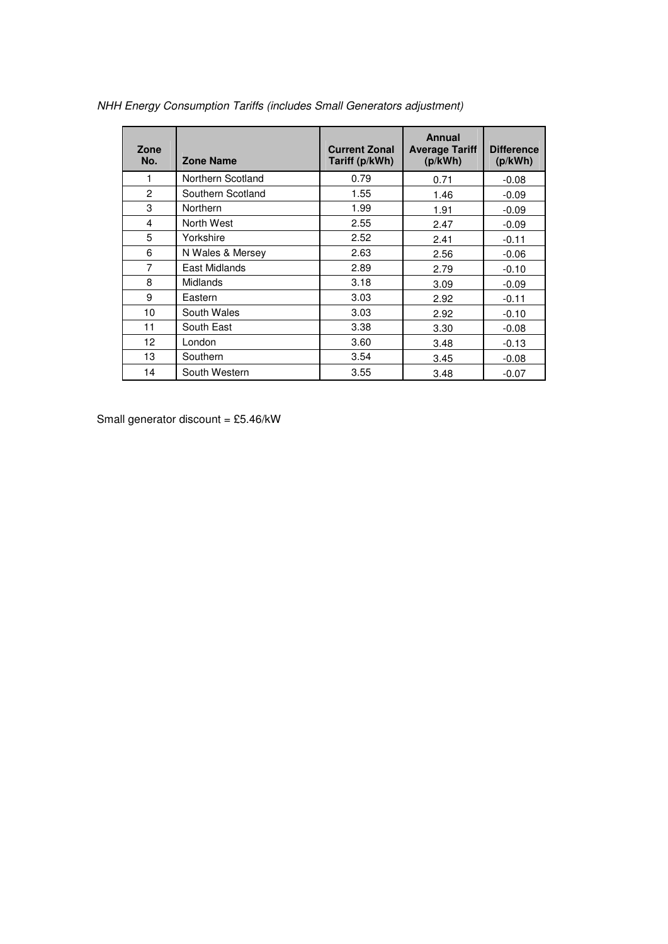| Zone<br>No.  | <b>Zone Name</b>  | <b>Current Zonal</b><br>Tariff (p/kWh) | <b>Annual</b><br><b>Average Tariff</b><br>(p/kWh) | <b>Difference</b><br>(p/kWh) |
|--------------|-------------------|----------------------------------------|---------------------------------------------------|------------------------------|
| 1            | Northern Scotland | 0.79                                   | 0.71                                              | $-0.08$                      |
| $\mathbf{2}$ | Southern Scotland | 1.55                                   | 1.46                                              | $-0.09$                      |
| 3            | <b>Northern</b>   | 1.99                                   | 1.91                                              | $-0.09$                      |
| 4            | North West        | 2.55                                   | 2.47                                              | $-0.09$                      |
| 5            | Yorkshire         | 2.52                                   | 2.41                                              | $-0.11$                      |
| 6            | N Wales & Mersey  | 2.63                                   | 2.56                                              | $-0.06$                      |
| 7            | East Midlands     | 2.89                                   | 2.79                                              | $-0.10$                      |
| 8            | <b>Midlands</b>   | 3.18                                   | 3.09                                              | $-0.09$                      |
| 9            | Eastern           | 3.03                                   | 2.92                                              | $-0.11$                      |
| 10           | South Wales       | 3.03                                   | 2.92                                              | $-0.10$                      |
| 11           | South East        | 3.38                                   | 3.30                                              | $-0.08$                      |
| 12           | London            | 3.60                                   | 3.48                                              | $-0.13$                      |
| 13           | Southern          | 3.54                                   | 3.45                                              | $-0.08$                      |
| 14           | South Western     | 3.55                                   | 3.48                                              | $-0.07$                      |

NHH Energy Consumption Tariffs (includes Small Generators adjustment)

Small generator discount =  $£5.46/kW$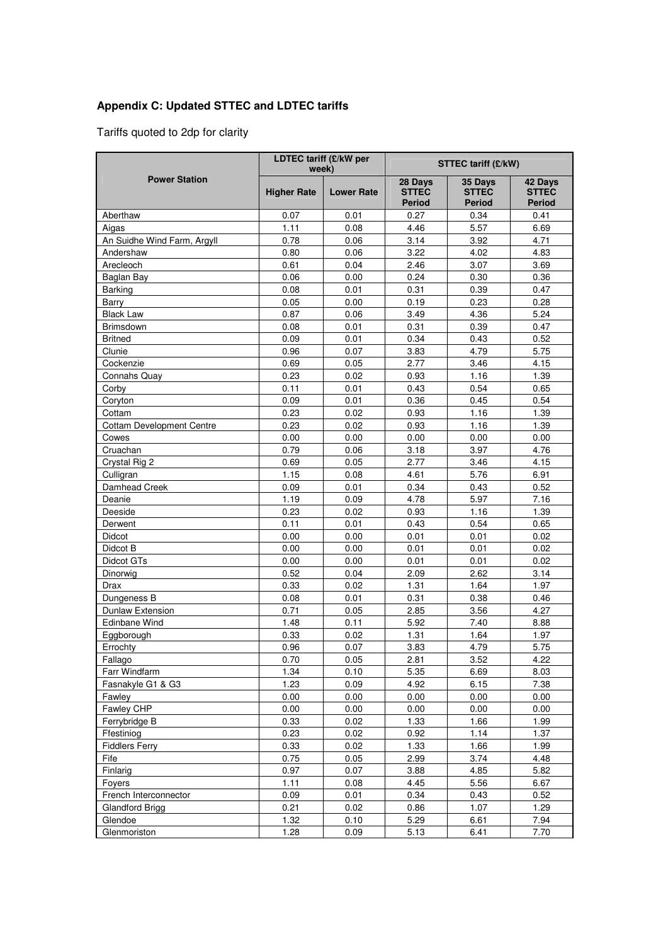# **Appendix C: Updated STTEC and LDTEC tariffs**

Tariffs quoted to 2dp for clarity

| LDTEC tariff (£/kW per<br>week)  |                    | <b>STTEC tariff (£/kW)</b> |                                          |                                          |                                          |
|----------------------------------|--------------------|----------------------------|------------------------------------------|------------------------------------------|------------------------------------------|
| <b>Power Station</b>             | <b>Higher Rate</b> | <b>Lower Rate</b>          | 28 Days<br><b>STTEC</b><br><b>Period</b> | 35 Days<br><b>STTEC</b><br><b>Period</b> | 42 Days<br><b>STTEC</b><br><b>Period</b> |
| Aberthaw                         | 0.07               | 0.01                       | 0.27                                     | 0.34                                     | 0.41                                     |
| Aigas                            | 1.11               | 0.08                       | 4.46                                     | 5.57                                     | 6.69                                     |
| An Suidhe Wind Farm, Argyll      | 0.78               | 0.06                       | 3.14                                     | 3.92                                     | 4.71                                     |
| Andershaw                        | 0.80               | 0.06                       | 3.22                                     | 4.02                                     | 4.83                                     |
| Arecleoch                        | 0.61               | 0.04                       | 2.46                                     | 3.07                                     | 3.69                                     |
| Baglan Bay                       | 0.06               | 0.00                       | 0.24                                     | 0.30                                     | 0.36                                     |
| <b>Barking</b>                   | 0.08               | 0.01                       | 0.31                                     | 0.39                                     | 0.47                                     |
| Barry                            | 0.05               | 0.00                       | 0.19                                     | 0.23                                     | 0.28                                     |
| <b>Black Law</b>                 | 0.87               | 0.06                       | 3.49                                     | 4.36                                     | 5.24                                     |
| <b>Brimsdown</b>                 | 0.08               | 0.01                       | 0.31                                     | 0.39                                     | 0.47                                     |
| <b>Britned</b>                   | 0.09               | 0.01                       | 0.34                                     | 0.43                                     | 0.52                                     |
| Clunie                           | 0.96               | 0.07                       | 3.83                                     | 4.79                                     | 5.75                                     |
| Cockenzie                        | 0.69               | 0.05                       | 2.77                                     | 3.46                                     | 4.15                                     |
| Connahs Quay                     | 0.23               | 0.02                       | 0.93                                     | 1.16                                     | 1.39                                     |
| Corby                            | 0.11               | 0.01                       | 0.43                                     | 0.54                                     | 0.65                                     |
| Coryton                          | 0.09               | 0.01                       | 0.36                                     | 0.45                                     | 0.54                                     |
| Cottam                           | 0.23               | 0.02                       | 0.93                                     | 1.16                                     | 1.39                                     |
| <b>Cottam Development Centre</b> | 0.23               | 0.02                       | 0.93                                     | 1.16                                     | 1.39                                     |
| Cowes                            | 0.00               | 0.00                       | 0.00                                     | 0.00                                     | 0.00                                     |
| Cruachan                         | 0.79               | 0.06                       | 3.18                                     | 3.97                                     | 4.76                                     |
| Crystal Rig 2                    | 0.69               | 0.05                       | 2.77                                     | 3.46                                     | 4.15                                     |
| Culligran                        | 1.15               | 0.08                       | 4.61                                     | 5.76                                     | 6.91                                     |
| Damhead Creek                    | 0.09               | 0.01                       | 0.34                                     | 0.43                                     | 0.52                                     |
| Deanie                           | 1.19               | 0.09                       | 4.78                                     | 5.97                                     | 7.16                                     |
| Deeside                          | 0.23               | 0.02                       | 0.93                                     | 1.16                                     | 1.39                                     |
| Derwent                          | 0.11               | 0.01                       | 0.43                                     | 0.54                                     | 0.65                                     |
| Didcot                           | 0.00               | 0.00                       | 0.01                                     | 0.01                                     | 0.02                                     |
| Didcot B                         | 0.00               | 0.00                       | 0.01                                     | 0.01                                     | 0.02                                     |
| Didcot GTs                       | 0.00               | 0.00                       | 0.01                                     | 0.01                                     | 0.02                                     |
| Dinorwig                         | 0.52               | 0.04                       | 2.09                                     | 2.62                                     | 3.14                                     |
| Drax                             | 0.33               | 0.02                       | 1.31                                     | 1.64                                     | 1.97                                     |
| Dungeness B                      | 0.08               | 0.01                       | 0.31                                     | 0.38                                     | 0.46                                     |
| Dunlaw Extension                 | 0.71               | 0.05                       | 2.85                                     | 3.56                                     | 4.27                                     |
| <b>Edinbane Wind</b>             | 1.48               | 0.11                       | 5.92                                     | 7.40                                     | 8.88                                     |
| Eggborough                       | 0.33               | 0.02                       | 1.31                                     | 1.64                                     | 1.97                                     |
| Errochty                         | 0.96               | 0.07                       | 3.83                                     | 4.79                                     | 5.75                                     |
| Fallago                          | 0.70               | 0.05                       | 2.81                                     | 3.52                                     | 4.22                                     |
| Farr Windfarm                    | 1.34               | 0.10                       | 5.35                                     | 6.69                                     | 8.03                                     |
| Fasnakyle G1 & G3                | 1.23               | 0.09                       | 4.92                                     | 6.15                                     | 7.38                                     |
| Fawley                           | 0.00               | 0.00                       | 0.00                                     | 0.00                                     | 0.00                                     |
| Fawley CHP                       | 0.00               | 0.00                       | 0.00                                     | 0.00                                     | 0.00                                     |
| Ferrybridge B                    | 0.33               | 0.02                       | 1.33                                     | 1.66                                     | 1.99                                     |
| Ffestiniog                       | 0.23               | 0.02                       | 0.92                                     | 1.14                                     | 1.37                                     |
| <b>Fiddlers Ferry</b>            | 0.33               | 0.02                       | 1.33                                     | 1.66                                     | 1.99                                     |
| Fife                             | 0.75               | 0.05                       | 2.99                                     | 3.74                                     | 4.48                                     |
| Finlarig                         | 0.97               | 0.07                       | 3.88                                     | 4.85                                     | 5.82                                     |
| Foyers                           | 1.11               | 0.08                       | 4.45                                     | 5.56                                     | 6.67                                     |
| French Interconnector            | 0.09<br>0.21       | 0.01                       | 0.34                                     | 0.43                                     | 0.52                                     |
| Glandford Brigg                  |                    | 0.02                       | 0.86                                     | 1.07                                     | 1.29                                     |
| Glendoe<br>Glenmoriston          | 1.32               | 0.10                       | 5.29                                     | 6.61                                     | 7.94<br>7.70                             |
|                                  | 1.28               | 0.09                       | 5.13                                     | 6.41                                     |                                          |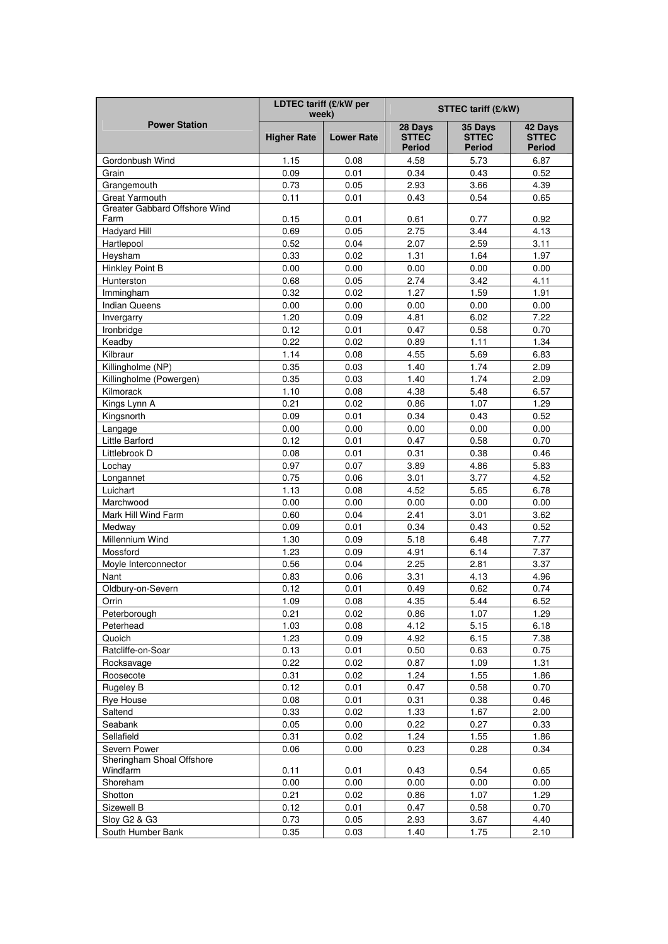|                                       | LDTEC tariff (£/kW per<br>week) |                   | <b>STTEC tariff (£/kW)</b>               |                                          |                                   |  |
|---------------------------------------|---------------------------------|-------------------|------------------------------------------|------------------------------------------|-----------------------------------|--|
| <b>Power Station</b>                  | <b>Higher Rate</b>              | <b>Lower Rate</b> | 28 Days<br><b>STTEC</b><br><b>Period</b> | 35 Days<br><b>STTEC</b><br><b>Period</b> | 42 Days<br><b>STTEC</b><br>Period |  |
| Gordonbush Wind                       | 1.15                            | 0.08              | 4.58                                     | 5.73                                     | 6.87                              |  |
| Grain                                 | 0.09                            | 0.01              | 0.34                                     | 0.43                                     | 0.52                              |  |
| Grangemouth                           | 0.73                            | 0.05              | 2.93                                     | 3.66                                     | 4.39                              |  |
| <b>Great Yarmouth</b>                 | 0.11                            | 0.01              | 0.43                                     | 0.54                                     | 0.65                              |  |
| Greater Gabbard Offshore Wind<br>Farm | 0.15                            | 0.01              | 0.61                                     | 0.77                                     | 0.92                              |  |
| <b>Hadyard Hill</b>                   | 0.69                            | 0.05              | 2.75                                     | 3.44                                     | 4.13                              |  |
| Hartlepool                            | 0.52                            | 0.04              | 2.07                                     | 2.59                                     | 3.11                              |  |
| Heysham                               | 0.33                            | 0.02              | 1.31                                     | 1.64                                     | 1.97                              |  |
| Hinkley Point B                       | 0.00                            | 0.00              | 0.00                                     | 0.00                                     | 0.00                              |  |
| Hunterston                            | 0.68                            | 0.05              | 2.74                                     | 3.42                                     | 4.11                              |  |
| Immingham                             | 0.32                            | 0.02              | 1.27                                     | 1.59                                     | 1.91                              |  |
| <b>Indian Queens</b>                  | 0.00                            | 0.00              | 0.00                                     | 0.00                                     | 0.00                              |  |
| Invergarry                            | 1.20                            | 0.09              | 4.81                                     | 6.02                                     | 7.22                              |  |
| Ironbridge                            | 0.12                            | 0.01              | 0.47                                     | 0.58                                     | 0.70                              |  |
| Keadby                                | 0.22                            | 0.02              | 0.89                                     | 1.11                                     | 1.34                              |  |
| Kilbraur                              | 1.14                            | 0.08              | 4.55                                     | 5.69                                     | 6.83                              |  |
| Killingholme (NP)                     | 0.35                            | 0.03              | 1.40                                     | 1.74                                     | 2.09                              |  |
| Killingholme (Powergen)               | 0.35                            | 0.03              | 1.40                                     | 1.74                                     | 2.09                              |  |
| Kilmorack                             | 1.10                            | 0.08              | 4.38                                     | 5.48                                     | 6.57                              |  |
| Kings Lynn A                          | 0.21                            | 0.02              | 0.86                                     | 1.07                                     | 1.29                              |  |
| Kingsnorth                            | 0.09                            | 0.01              | 0.34                                     | 0.43                                     | 0.52                              |  |
| Langage                               | 0.00                            | 0.00              | 0.00                                     | 0.00                                     | 0.00                              |  |
| Little Barford                        | 0.12                            | 0.01              | 0.47                                     | 0.58                                     | 0.70                              |  |
| Littlebrook D                         | 0.08                            | 0.01              | 0.31                                     | 0.38                                     | 0.46                              |  |
| Lochay                                | 0.97                            | 0.07              | 3.89                                     | 4.86                                     | 5.83                              |  |
| Longannet                             | 0.75                            | 0.06              | 3.01                                     | 3.77                                     | 4.52                              |  |
| Luichart                              | 1.13                            | 0.08              | 4.52                                     | 5.65                                     | 6.78                              |  |
| Marchwood                             | 0.00                            | 0.00              | 0.00                                     | 0.00                                     | 0.00                              |  |
| Mark Hill Wind Farm                   | 0.60                            | 0.04              | 2.41                                     | 3.01                                     | 3.62                              |  |
| Medway                                | 0.09                            | 0.01              | 0.34                                     | 0.43                                     | 0.52                              |  |
| Millennium Wind                       | 1.30                            | 0.09              | 5.18                                     | 6.48                                     | 7.77                              |  |
| Mossford                              | 1.23                            | 0.09              | 4.91                                     | 6.14                                     | 7.37                              |  |
| Moyle Interconnector                  | 0.56                            | 0.04              | 2.25                                     | 2.81                                     | 3.37                              |  |
| Nant                                  | 0.83                            | 0.06              | 3.31                                     | 4.13                                     | 4.96                              |  |
| Oldbury-on-Severn                     | 0.12                            | 0.01              | 0.49                                     | 0.62                                     | 0.74                              |  |
| Orrin                                 | 1.09                            | 0.08              | 4.35                                     | 5.44                                     | 6.52                              |  |
| Peterborough                          | 0.21                            | 0.02              | 0.86                                     | 1.07                                     | 1.29                              |  |
| Peterhead                             | 1.03                            | 0.08              | 4.12                                     | 5.15                                     | 6.18                              |  |
| Quoich                                | 1.23                            | 0.09              | 4.92                                     | 6.15                                     | 7.38                              |  |
| Ratcliffe-on-Soar                     | 0.13                            | 0.01              | 0.50                                     | 0.63                                     | 0.75                              |  |
| Rocksavage                            | 0.22                            | 0.02              | 0.87                                     | 1.09                                     | 1.31                              |  |
| Roosecote                             | 0.31                            | 0.02              | 1.24                                     | 1.55                                     | 1.86                              |  |
| Rugeley B                             | 0.12                            | 0.01              | 0.47                                     | 0.58                                     | 0.70                              |  |
| <b>Rye House</b>                      | 0.08                            | 0.01              | 0.31                                     | 0.38                                     | 0.46                              |  |
| Saltend                               | 0.33                            | 0.02              | 1.33                                     | 1.67                                     | 2.00                              |  |
| Seabank                               | 0.05                            | 0.00              | 0.22                                     | 0.27                                     | 0.33                              |  |
| Sellafield                            | 0.31                            | 0.02              | 1.24                                     | 1.55                                     | 1.86                              |  |
| Severn Power                          | 0.06                            | 0.00              | 0.23                                     | 0.28                                     | 0.34                              |  |
| Sheringham Shoal Offshore<br>Windfarm | 0.11                            | 0.01              | 0.43                                     | 0.54                                     | 0.65                              |  |
| Shoreham                              | 0.00                            | 0.00              | 0.00                                     | 0.00                                     | 0.00                              |  |
| Shotton                               | 0.21                            | 0.02              | 0.86                                     | 1.07                                     | 1.29                              |  |
| Sizewell B                            | 0.12                            | 0.01              | 0.47                                     | 0.58                                     | 0.70                              |  |
| Sloy G2 & G3                          | 0.73                            | 0.05              | 2.93                                     | 3.67                                     | 4.40                              |  |
| South Humber Bank                     | 0.35                            | 0.03              | 1.40                                     | 1.75                                     | 2.10                              |  |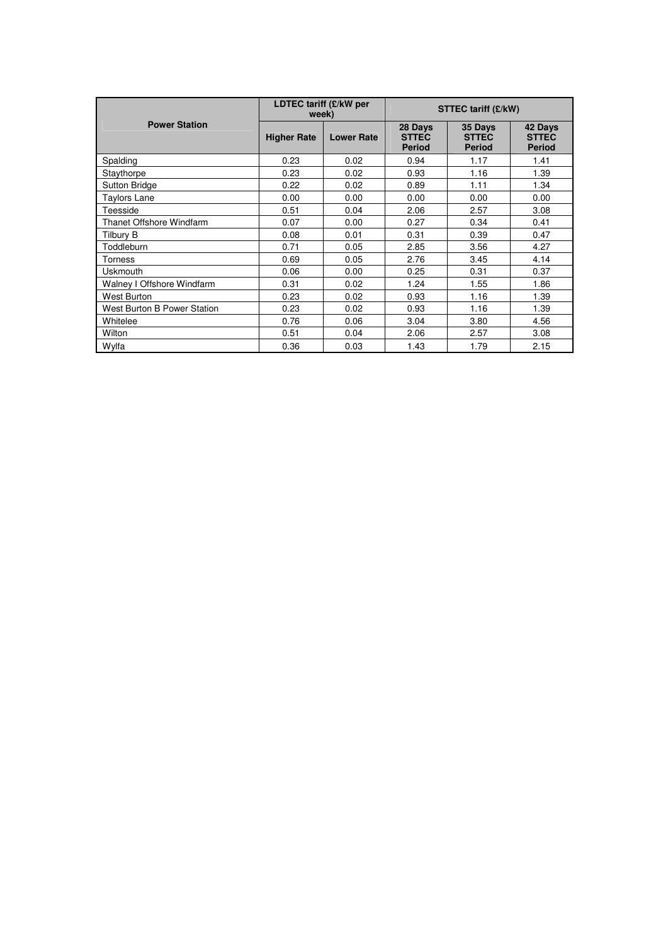|                             | LDTEC tariff (£/kW per<br>week) |                   | <b>STTEC tariff (£/kW)</b>               |                                          |                                          |
|-----------------------------|---------------------------------|-------------------|------------------------------------------|------------------------------------------|------------------------------------------|
| <b>Power Station</b>        | <b>Higher Rate</b>              | <b>Lower Rate</b> | 28 Days<br><b>STTEC</b><br><b>Period</b> | 35 Days<br><b>STTEC</b><br><b>Period</b> | 42 Days<br><b>STTEC</b><br><b>Period</b> |
| Spalding                    | 0.23                            | 0.02              | 0.94                                     | 1.17                                     | 1.41                                     |
| Staythorpe                  | 0.23                            | 0.02              | 0.93                                     | 1.16                                     | 1.39                                     |
| <b>Sutton Bridge</b>        | 0.22                            | 0.02              | 0.89                                     | 1.11                                     | 1.34                                     |
| <b>Taylors Lane</b>         | 0.00                            | 0.00              | 0.00                                     | 0.00                                     | 0.00                                     |
| Teesside                    | 0.51                            | 0.04              | 2.06                                     | 2.57                                     | 3.08                                     |
| Thanet Offshore Windfarm    | 0.07                            | 0.00              | 0.27                                     | 0.34                                     | 0.41                                     |
| <b>Tilbury B</b>            | 0.08                            | 0.01              | 0.31                                     | 0.39                                     | 0.47                                     |
| Toddleburn                  | 0.71                            | 0.05              | 2.85                                     | 3.56                                     | 4.27                                     |
| Torness                     | 0.69                            | 0.05              | 2.76                                     | 3.45                                     | 4.14                                     |
| <b>Uskmouth</b>             | 0.06                            | 0.00              | 0.25                                     | 0.31                                     | 0.37                                     |
| Walney I Offshore Windfarm  | 0.31                            | 0.02              | 1.24                                     | 1.55                                     | 1.86                                     |
| <b>West Burton</b>          | 0.23                            | 0.02              | 0.93                                     | 1.16                                     | 1.39                                     |
| West Burton B Power Station | 0.23                            | 0.02              | 0.93                                     | 1.16                                     | 1.39                                     |
| Whitelee                    | 0.76                            | 0.06              | 3.04                                     | 3.80                                     | 4.56                                     |
| Wilton                      | 0.51                            | 0.04              | 2.06                                     | 2.57                                     | 3.08                                     |
| Wylfa                       | 0.36                            | 0.03              | 1.43                                     | 1.79                                     | 2.15                                     |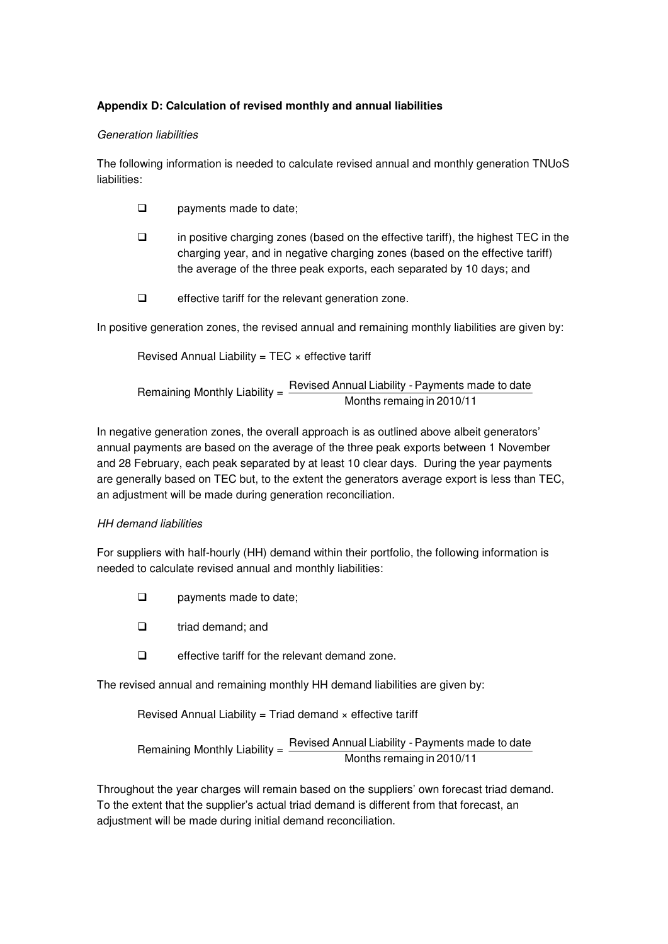# **Appendix D: Calculation of revised monthly and annual liabilities**

#### Generation liabilities

The following information is needed to calculate revised annual and monthly generation TNUoS liabilities:

- **Q** payments made to date;
- $\Box$  in positive charging zones (based on the effective tariff), the highest TEC in the charging year, and in negative charging zones (based on the effective tariff) the average of the three peak exports, each separated by 10 days; and
- $\Box$  effective tariff for the relevant generation zone.

In positive generation zones, the revised annual and remaining monthly liabilities are given by:

Revised Annual Liability =  $TEC \times$  effective tariff

Remaining Monthly Liability =  $\frac{\text{Revised Annual Liability - Payments made to date}}{\text{Im}(1 + \frac{1}{2})}$ Months remaing in 2010/11

In negative generation zones, the overall approach is as outlined above albeit generators' annual payments are based on the average of the three peak exports between 1 November and 28 February, each peak separated by at least 10 clear days. During the year payments are generally based on TEC but, to the extent the generators average export is less than TEC, an adjustment will be made during generation reconciliation.

#### HH demand liabilities

For suppliers with half-hourly (HH) demand within their portfolio, the following information is needed to calculate revised annual and monthly liabilities:

- **Q** payments made to date;
- $\Box$  triad demand; and
- $\Box$  effective tariff for the relevant demand zone.

The revised annual and remaining monthly HH demand liabilities are given by:

Revised Annual Liability = Triad demand  $\times$  effective tariff

Remaining Monthly Liability =  $\frac{100,000,000,0000}{\text{Months remain} in 2010/11}$ Revised Annual Liability - Payments made to date

Throughout the year charges will remain based on the suppliers' own forecast triad demand. To the extent that the supplier's actual triad demand is different from that forecast, an adjustment will be made during initial demand reconciliation.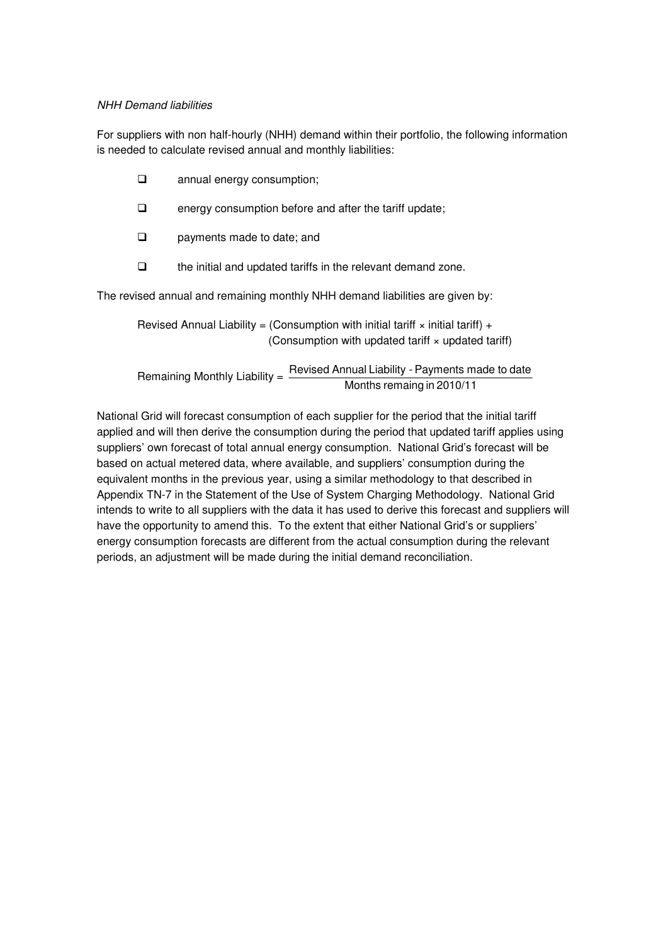#### NHH Demand liabilities

For suppliers with non half-hourly (NHH) demand within their portfolio, the following information is needed to calculate revised annual and monthly liabilities:

| $\Box$ | annual energy consumption;                             |
|--------|--------------------------------------------------------|
| $\Box$ | energy consumption before and after the tariff update; |

- **Q** payments made to date; and
- $\Box$  the initial and updated tariffs in the relevant demand zone.

The revised annual and remaining monthly NHH demand liabilities are given by:

Revised Annual Liability = (Consumption with initial tariff  $\times$  initial tariff) + (Consumption with updated tariff × updated tariff)

 Remaining Monthly Liability = Months remaing in 2010/11 Revised Annual Liability - Payments made to date

National Grid will forecast consumption of each supplier for the period that the initial tariff applied and will then derive the consumption during the period that updated tariff applies using suppliers' own forecast of total annual energy consumption. National Grid's forecast will be based on actual metered data, where available, and suppliers' consumption during the equivalent months in the previous year, using a similar methodology to that described in Appendix TN-7 in the Statement of the Use of System Charging Methodology. National Grid intends to write to all suppliers with the data it has used to derive this forecast and suppliers will have the opportunity to amend this. To the extent that either National Grid's or suppliers' energy consumption forecasts are different from the actual consumption during the relevant periods, an adjustment will be made during the initial demand reconciliation.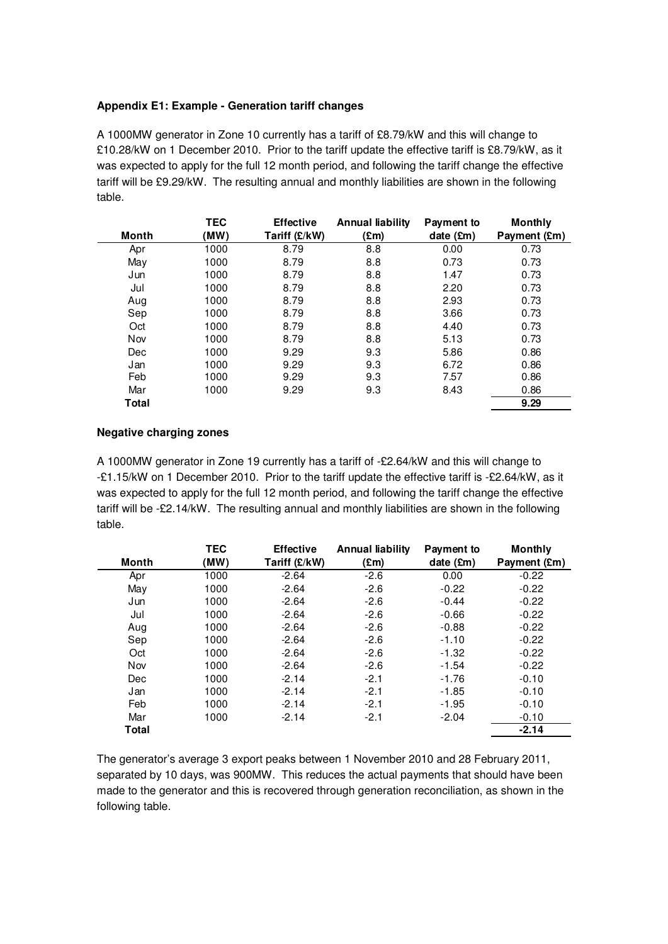#### **Appendix E1: Example - Generation tariff changes**

A 1000MW generator in Zone 10 currently has a tariff of £8.79/kW and this will change to £10.28/kW on 1 December 2010. Prior to the tariff update the effective tariff is £8.79/kW, as it was expected to apply for the full 12 month period, and following the tariff change the effective tariff will be £9.29/kW. The resulting annual and monthly liabilities are shown in the following table.

|            | TEC  | <b>Effective</b> | <b>Annual liability</b> | Payment to            | <b>Monthly</b> |
|------------|------|------------------|-------------------------|-----------------------|----------------|
| Month      | (MW) | Tariff (£/kW)    | (£m)                    | date $(\mathfrak{m})$ | Payment (£m)   |
| Apr        | 1000 | 8.79             | 8.8                     | 0.00                  | 0.73           |
| May        | 1000 | 8.79             | 8.8                     | 0.73                  | 0.73           |
| Jun        | 1000 | 8.79             | 8.8                     | 1.47                  | 0.73           |
| Jul        | 1000 | 8.79             | 8.8                     | 2.20                  | 0.73           |
| Aug        | 1000 | 8.79             | 8.8                     | 2.93                  | 0.73           |
| Sep        | 1000 | 8.79             | 8.8                     | 3.66                  | 0.73           |
| Oct        | 1000 | 8.79             | 8.8                     | 4.40                  | 0.73           |
| Nov        | 1000 | 8.79             | 8.8                     | 5.13                  | 0.73           |
| <b>Dec</b> | 1000 | 9.29             | 9.3                     | 5.86                  | 0.86           |
| Jan        | 1000 | 9.29             | 9.3                     | 6.72                  | 0.86           |
| Feb        | 1000 | 9.29             | 9.3                     | 7.57                  | 0.86           |
| Mar        | 1000 | 9.29             | 9.3                     | 8.43                  | 0.86           |
| Total      |      |                  |                         |                       | 9.29           |

#### **Negative charging zones**

A 1000MW generator in Zone 19 currently has a tariff of -£2.64/kW and this will change to -£1.15/kW on 1 December 2010. Prior to the tariff update the effective tariff is -£2.64/kW, as it was expected to apply for the full 12 month period, and following the tariff change the effective tariff will be -£2.14/kW. The resulting annual and monthly liabilities are shown in the following table.

|            | <b>TEC</b> | <b>Effective</b> | <b>Annual liability</b> | Payment to           | <b>Monthly</b> |
|------------|------------|------------------|-------------------------|----------------------|----------------|
| Month      | (MW)       | Tariff $(E/KW)$  | $(\mathbf{Em})$         | date $(\mathbf{Em})$ | Payment (£m)   |
| Apr        | 1000       | $-2.64$          | $-2.6$                  | 0.00                 | $-0.22$        |
| May        | 1000       | $-2.64$          | $-2.6$                  | $-0.22$              | $-0.22$        |
| Jun        | 1000       | $-2.64$          | $-2.6$                  | $-0.44$              | $-0.22$        |
| Jul        | 1000       | $-2.64$          | $-2.6$                  | $-0.66$              | $-0.22$        |
| Aug        | 1000       | $-2.64$          | $-2.6$                  | $-0.88$              | $-0.22$        |
| Sep        | 1000       | $-2.64$          | $-2.6$                  | $-1.10$              | $-0.22$        |
| Oct        | 1000       | $-2.64$          | $-2.6$                  | $-1.32$              | $-0.22$        |
| <b>Nov</b> | 1000       | $-2.64$          | $-2.6$                  | $-1.54$              | $-0.22$        |
| Dec        | 1000       | $-2.14$          | $-2.1$                  | $-1.76$              | $-0.10$        |
| Jan        | 1000       | $-2.14$          | $-2.1$                  | $-1.85$              | $-0.10$        |
| Feb        | 1000       | $-2.14$          | $-2.1$                  | $-1.95$              | $-0.10$        |
| Mar        | 1000       | $-2.14$          | $-2.1$                  | $-2.04$              | $-0.10$        |
| Total      |            |                  |                         |                      | $-2.14$        |

The generator's average 3 export peaks between 1 November 2010 and 28 February 2011, separated by 10 days, was 900MW. This reduces the actual payments that should have been made to the generator and this is recovered through generation reconciliation, as shown in the following table.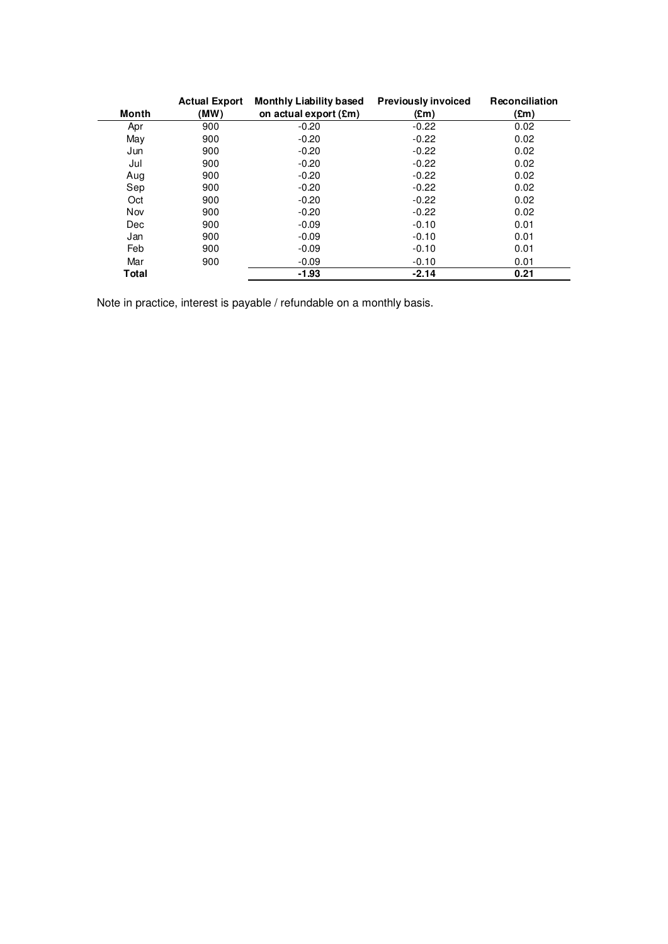|            | <b>Actual Export</b> | <b>Monthly Liability based</b> | <b>Previously invoiced</b> | Reconciliation |
|------------|----------------------|--------------------------------|----------------------------|----------------|
| Month      | (MW)                 | on actual export (£m)          | $(\text{Em})$              | $(\text{Em})$  |
| Apr        | 900                  | $-0.20$                        | $-0.22$                    | 0.02           |
| May        | 900                  | $-0.20$                        | $-0.22$                    | 0.02           |
| Jun        | 900                  | $-0.20$                        | $-0.22$                    | 0.02           |
| Jul        | 900                  | $-0.20$                        | $-0.22$                    | 0.02           |
| Aug        | 900                  | $-0.20$                        | $-0.22$                    | 0.02           |
| Sep        | 900                  | $-0.20$                        | $-0.22$                    | 0.02           |
| Oct        | 900                  | $-0.20$                        | $-0.22$                    | 0.02           |
| Nov        | 900                  | $-0.20$                        | $-0.22$                    | 0.02           |
| <b>Dec</b> | 900                  | $-0.09$                        | $-0.10$                    | 0.01           |
| Jan        | 900                  | $-0.09$                        | $-0.10$                    | 0.01           |
| Feb        | 900                  | $-0.09$                        | $-0.10$                    | 0.01           |
| Mar        | 900                  | $-0.09$                        | $-0.10$                    | 0.01           |
| Total      |                      | $-1.93$                        | $-2.14$                    | 0.21           |

Note in practice, interest is payable / refundable on a monthly basis.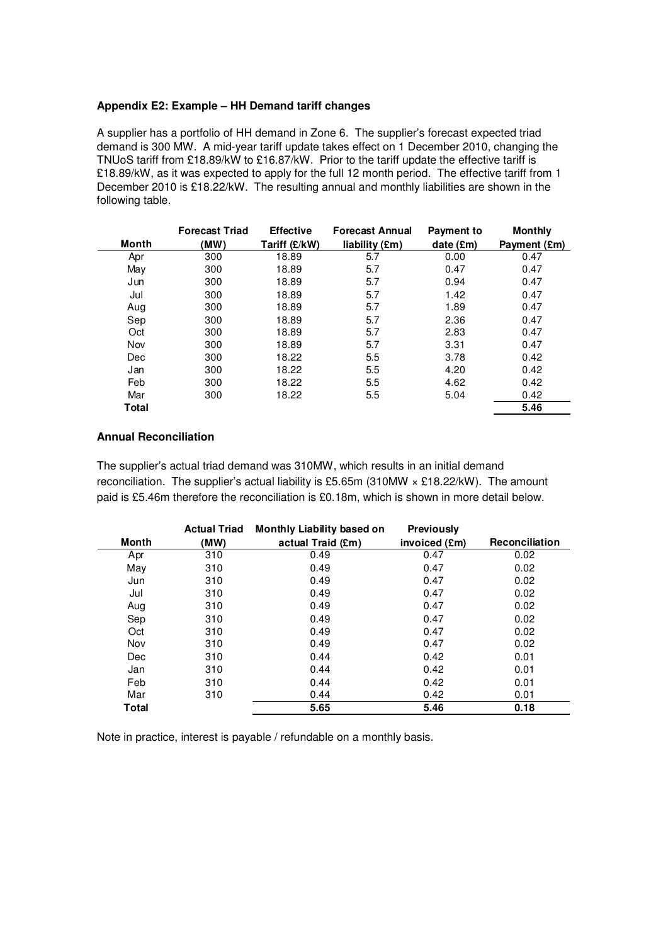#### **Appendix E2: Example – HH Demand tariff changes**

A supplier has a portfolio of HH demand in Zone 6. The supplier's forecast expected triad demand is 300 MW. A mid-year tariff update takes effect on 1 December 2010, changing the TNUoS tariff from £18.89/kW to £16.87/kW. Prior to the tariff update the effective tariff is £18.89/kW, as it was expected to apply for the full 12 month period. The effective tariff from 1 December 2010 is £18.22/kW. The resulting annual and monthly liabilities are shown in the following table.

|            | <b>Forecast Triad</b> | <b>Effective</b> | <b>Forecast Annual</b> | <b>Payment to</b>  | <b>Monthly</b> |
|------------|-----------------------|------------------|------------------------|--------------------|----------------|
| Month      | (MW)                  | Tariff (£/kW)    | liability (£m)         | date $(\text{Em})$ | Payment (£m)   |
| Apr        | 300                   | 18.89            | 5.7                    | 0.00               | 0.47           |
| May        | 300                   | 18.89            | 5.7                    | 0.47               | 0.47           |
| Jun        | 300                   | 18.89            | 5.7                    | 0.94               | 0.47           |
| Jul        | 300                   | 18.89            | 5.7                    | 1.42               | 0.47           |
| Aug        | 300                   | 18.89            | 5.7                    | 1.89               | 0.47           |
| Sep        | 300                   | 18.89            | 5.7                    | 2.36               | 0.47           |
| Oct        | 300                   | 18.89            | 5.7                    | 2.83               | 0.47           |
| Nov        | 300                   | 18.89            | 5.7                    | 3.31               | 0.47           |
| <b>Dec</b> | 300                   | 18.22            | 5.5                    | 3.78               | 0.42           |
| Jan        | 300                   | 18.22            | 5.5                    | 4.20               | 0.42           |
| Feb        | 300                   | 18.22            | 5.5                    | 4.62               | 0.42           |
| Mar        | 300                   | 18.22            | 5.5                    | 5.04               | 0.42           |
| Total      |                       |                  |                        |                    | 5.46           |

# **Annual Reconciliation**

The supplier's actual triad demand was 310MW, which results in an initial demand reconciliation. The supplier's actual liability is £5.65m (310MW × £18.22/kW). The amount paid is £5.46m therefore the reconciliation is £0.18m, which is shown in more detail below.

|              | <b>Actual Triad</b> | <b>Monthly Liability based on</b> | <b>Previously</b> |                       |
|--------------|---------------------|-----------------------------------|-------------------|-----------------------|
| Month        | (MW)                | actual Traid (£m)                 | invoiced (£m)     | <b>Reconciliation</b> |
| Apr          | 310                 | 0.49                              | 0.47              | 0.02                  |
| May          | 310                 | 0.49                              | 0.47              | 0.02                  |
| Jun          | 310                 | 0.49                              | 0.47              | 0.02                  |
| Jul          | 310                 | 0.49                              | 0.47              | 0.02                  |
| Aug          | 310                 | 0.49                              | 0.47              | 0.02                  |
| Sep          | 310                 | 0.49                              | 0.47              | 0.02                  |
| Oct          | 310                 | 0.49                              | 0.47              | 0.02                  |
| Nov          | 310                 | 0.49                              | 0.47              | 0.02                  |
| Dec          | 310                 | 0.44                              | 0.42              | 0.01                  |
| Jan          | 310                 | 0.44                              | 0.42              | 0.01                  |
| Feb          | 310                 | 0.44                              | 0.42              | 0.01                  |
| Mar          | 310                 | 0.44                              | 0.42              | 0.01                  |
| <b>Total</b> |                     | 5.65                              | 5.46              | 0.18                  |

Note in practice, interest is payable / refundable on a monthly basis.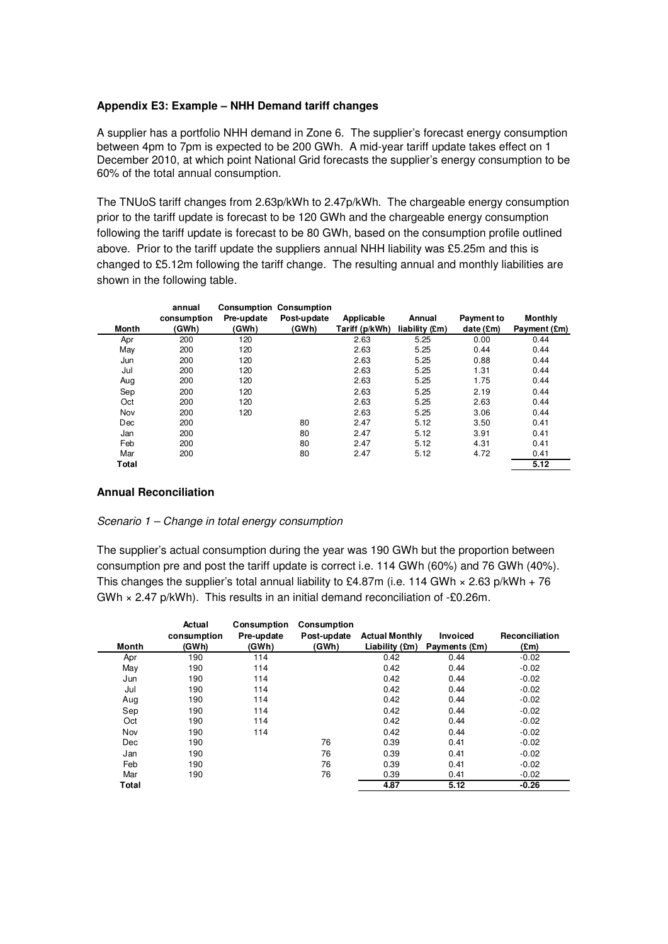#### **Appendix E3: Example – NHH Demand tariff changes**

A supplier has a portfolio NHH demand in Zone 6. The supplier's forecast energy consumption between 4pm to 7pm is expected to be 200 GWh. A mid-year tariff update takes effect on 1 December 2010, at which point National Grid forecasts the supplier's energy consumption to be 60% of the total annual consumption.

The TNUoS tariff changes from 2.63p/kWh to 2.47p/kWh. The chargeable energy consumption prior to the tariff update is forecast to be 120 GWh and the chargeable energy consumption following the tariff update is forecast to be 80 GWh, based on the consumption profile outlined above. Prior to the tariff update the suppliers annual NHH liability was £5.25m and this is changed to £5.12m following the tariff change. The resulting annual and monthly liabilities are shown in the following table.

|       | annual      |            | <b>Consumption Consumption</b> |                |                |            |                |
|-------|-------------|------------|--------------------------------|----------------|----------------|------------|----------------|
|       | consumption | Pre-update | Post-update                    | Applicable     | Annual         | Payment to | <b>Monthly</b> |
| Month | (GWh)       | (GWh)      | (GWh)                          | Tariff (p/kWh) | liability (£m) | date (£m)  | Payment (£m)   |
| Apr   | 200         | 120        |                                | 2.63           | 5.25           | 0.00       | 0.44           |
| May   | 200         | 120        |                                | 2.63           | 5.25           | 0.44       | 0.44           |
| Jun   | 200         | 120        |                                | 2.63           | 5.25           | 0.88       | 0.44           |
| Jul   | 200         | 120        |                                | 2.63           | 5.25           | 1.31       | 0.44           |
| Aug   | 200         | 120        |                                | 2.63           | 5.25           | 1.75       | 0.44           |
| Sep   | 200         | 120        |                                | 2.63           | 5.25           | 2.19       | 0.44           |
| Oct   | 200         | 120        |                                | 2.63           | 5.25           | 2.63       | 0.44           |
| Nov   | 200         | 120        |                                | 2.63           | 5.25           | 3.06       | 0.44           |
| Dec   | 200         |            | 80                             | 2.47           | 5.12           | 3.50       | 0.41           |
| Jan   | 200         |            | 80                             | 2.47           | 5.12           | 3.91       | 0.41           |
| Feb   | 200         |            | 80                             | 2.47           | 5.12           | 4.31       | 0.41           |
| Mar   | 200         |            | 80                             | 2.47           | 5.12           | 4.72       | 0.41           |
| Total |             |            |                                |                |                |            | 5.12           |

#### **Annual Reconciliation**

#### Scenario 1 – Change in total energy consumption

The supplier's actual consumption during the year was 190 GWh but the proportion between consumption pre and post the tariff update is correct i.e. 114 GWh (60%) and 76 GWh (40%). This changes the supplier's total annual liability to £4.87m (i.e. 114 GWh  $\times$  2.63 p/kWh + 76 GWh × 2.47 p/kWh). This results in an initial demand reconciliation of -£0.26m.

| Month | Actual<br>consumption<br>(GWh) | <b>Consumption</b><br>Pre-update<br>(GWh) | Consumption<br>Post-update<br>(GWh) | <b>Actual Monthly</b> | <b>Invoiced</b><br>Liability (£m) Payments (£m) | Reconciliation<br>(£m) |
|-------|--------------------------------|-------------------------------------------|-------------------------------------|-----------------------|-------------------------------------------------|------------------------|
| Apr   | 190                            | 114                                       |                                     | 0.42                  | 0.44                                            | $-0.02$                |
| May   | 190                            | 114                                       |                                     | 0.42                  | 0.44                                            | $-0.02$                |
| Jun   | 190                            | 114                                       |                                     | 0.42                  | 0.44                                            | $-0.02$                |
| Jul   | 190                            | 114                                       |                                     | 0.42                  | 0.44                                            | $-0.02$                |
| Aug   | 190                            | 114                                       |                                     | 0.42                  | 0.44                                            | $-0.02$                |
| Sep   | 190                            | 114                                       |                                     | 0.42                  | 0.44                                            | $-0.02$                |
| Oct   | 190                            | 114                                       |                                     | 0.42                  | 0.44                                            | $-0.02$                |
| Nov   | 190                            | 114                                       |                                     | 0.42                  | 0.44                                            | $-0.02$                |
| Dec   | 190                            |                                           | 76                                  | 0.39                  | 0.41                                            | $-0.02$                |
| Jan   | 190                            |                                           | 76                                  | 0.39                  | 0.41                                            | $-0.02$                |
| Feb   | 190                            |                                           | 76                                  | 0.39                  | 0.41                                            | $-0.02$                |
| Mar   | 190                            |                                           | 76                                  | 0.39                  | 0.41                                            | $-0.02$                |
| Total |                                |                                           |                                     | 4.87                  | 5.12                                            | $-0.26$                |